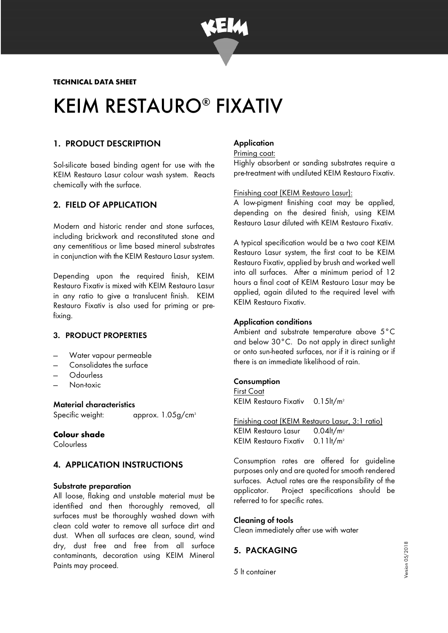

**TECHNICAL DATA SHEET** 

# KEIM RESTAURO® FIXATIV

# 1. PRODUCT DESCRIPTION

Sol-silicate based binding agent for use with the KEIM Restauro Lasur colour wash system. Reacts chemically with the surface.

# 2. FIELD OF APPLICATION

Modern and historic render and stone surfaces, including brickwork and reconstituted stone and any cementitious or lime based mineral substrates in conjunction with the KEIM Restauro Lasur system.

Depending upon the required finish, KEIM Restauro Fixativ is mixed with KEIM Restauro Lasur in any ratio to give a translucent finish. KEIM Restauro Fixativ is also used for priming or prefixing.

# 3. PRODUCT PROPERTIES

- Water vapour permeable
- Consolidates the surface
- Odourless
- Non-toxic

### Material characteristics

Specific weight: approx. 1.05g/cm<sup>3</sup>

#### **Colour shade**

**Colourless** 

# 4. APPLICATION INSTRUCTIONS

#### Substrate preparation

All loose, flaking and unstable material must be identified and then thoroughly removed, all surfaces must be thoroughly washed down with clean cold water to remove all surface dirt and dust. When all surfaces are clean, sound, wind dry, dust free and free from all surface contaminants, decoration using KEIM Mineral Paints may proceed.

# **Application**

#### Priming coat:

Highly absorbent or sanding substrates require a pre-treatment with undiluted KEIM Restauro Fixativ.

#### Finishing coat (KEIM Restauro Lasur):

A low-pigment finishing coat may be applied, depending on the desired finish, using KEIM Restauro Lasur diluted with KEIM Restauro Fixativ.

A typical specification would be a two coat KEIM Restauro Lasur system, the first coat to be KEIM Restauro Fixativ, applied by brush and worked well into all surfaces. After a minimum period of 12 hours a final coat of KEIM Restauro Lasur may be applied, again diluted to the required level with KEIM Restauro Fixativ.

# Application conditions

Ambient and substrate temperature above 5°C and below 30°C. Do not apply in direct sunlight or onto sun-heated surfaces, nor if it is raining or if there is an immediate likelihood of rain.

#### **Consumption**

First Coat KEIM Restauro Fixativ 0.15lt/m<sup>2</sup>

Finishing coat (KEIM Restauro Lasur, 3:1 ratio) KEIM Restauro Lasur  $0.04$ lt/m<sup>2</sup> KEIM Restauro Fixativ 0.11lt/m<sup>2</sup>

Consumption rates are offered for guideline purposes only and are quoted for smooth rendered surfaces. Actual rates are the responsibility of the applicator. Project specifications should be referred to for specific rates.

# Cleaning of tools

Clean immediately after use with water

# 5. PACKAGING

5 lt container